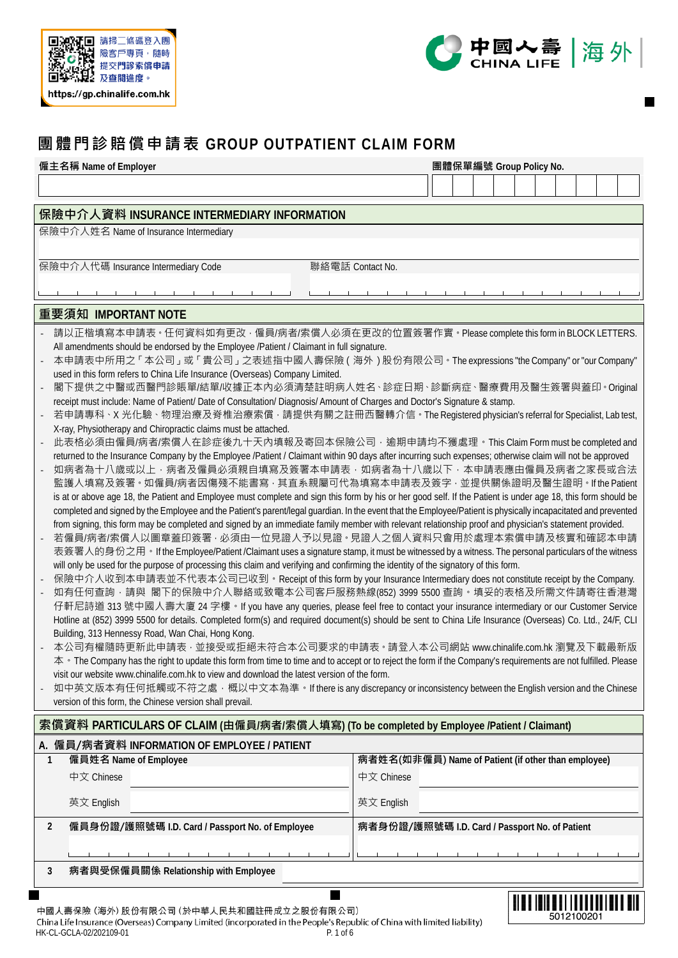



**IEIBERIT I I III** I I I II 5012100201

# **團體門診賠償申請表 GROUP OUTPATIENT CLAIM FORM**

| 僱主名稱 Name of Employer                                                                                                                                                                                                                                                                                                           | 團體保單編號 Group Policy No.                                                                                                                                                                                                                       |  |  |  |  |  |  |  |  |  |  |  |
|---------------------------------------------------------------------------------------------------------------------------------------------------------------------------------------------------------------------------------------------------------------------------------------------------------------------------------|-----------------------------------------------------------------------------------------------------------------------------------------------------------------------------------------------------------------------------------------------|--|--|--|--|--|--|--|--|--|--|--|
|                                                                                                                                                                                                                                                                                                                                 |                                                                                                                                                                                                                                               |  |  |  |  |  |  |  |  |  |  |  |
|                                                                                                                                                                                                                                                                                                                                 |                                                                                                                                                                                                                                               |  |  |  |  |  |  |  |  |  |  |  |
| 保險中介人資料 INSURANCE INTERMEDIARY INFORMATION<br>保險中介人姓名 Name of Insurance Intermediary                                                                                                                                                                                                                                            |                                                                                                                                                                                                                                               |  |  |  |  |  |  |  |  |  |  |  |
|                                                                                                                                                                                                                                                                                                                                 |                                                                                                                                                                                                                                               |  |  |  |  |  |  |  |  |  |  |  |
| 保險中介人代碼 Insurance Intermediary Code                                                                                                                                                                                                                                                                                             | 聯絡電話 Contact No.                                                                                                                                                                                                                              |  |  |  |  |  |  |  |  |  |  |  |
|                                                                                                                                                                                                                                                                                                                                 |                                                                                                                                                                                                                                               |  |  |  |  |  |  |  |  |  |  |  |
|                                                                                                                                                                                                                                                                                                                                 |                                                                                                                                                                                                                                               |  |  |  |  |  |  |  |  |  |  |  |
| 重要須知 IMPORTANT NOTE                                                                                                                                                                                                                                                                                                             |                                                                                                                                                                                                                                               |  |  |  |  |  |  |  |  |  |  |  |
| 請以正楷填寫本申請表。任何資料如有更改,僱員/病者/索償人必須在更改的位置簽署作實。Please complete this form in BLOCK LETTERS.                                                                                                                                                                                                                                           |                                                                                                                                                                                                                                               |  |  |  |  |  |  |  |  |  |  |  |
| All amendments should be endorsed by the Employee /Patient / Claimant in full signature.<br>本申請表中所用之「本公司」或「貴公司」之表述指中國人壽保險 ( 海外 ) 股份有限公司 • The expressions "the Company" or "our Company"                                                                                                                                        |                                                                                                                                                                                                                                               |  |  |  |  |  |  |  |  |  |  |  |
| used in this form refers to China Life Insurance (Overseas) Company Limited.                                                                                                                                                                                                                                                    |                                                                                                                                                                                                                                               |  |  |  |  |  |  |  |  |  |  |  |
| 閣下提供之中醫或西醫門診賬單/結單/收據正本內必須清楚註明病人姓名、診症日期、診斷病症、醫療費用及醫生簽署與蓋印。Original                                                                                                                                                                                                                                                               |                                                                                                                                                                                                                                               |  |  |  |  |  |  |  |  |  |  |  |
| receipt must include: Name of Patient/ Date of Consultation/ Diagnosis/ Amount of Charges and Doctor's Signature & stamp.<br>若申請專科、X 光化驗、物理治療及脊椎治療索償 · 請提供有關之註冊西醫轉介信。The Registered physician's referral for Specialist, Lab test,                                                                                              |                                                                                                                                                                                                                                               |  |  |  |  |  |  |  |  |  |  |  |
| X-ray, Physiotherapy and Chiropractic claims must be attached.                                                                                                                                                                                                                                                                  |                                                                                                                                                                                                                                               |  |  |  |  |  |  |  |  |  |  |  |
|                                                                                                                                                                                                                                                                                                                                 | 此表格必須由僱員/病者/索償人在診症後九十天內填報及寄回本保險公司,逾期申請均不獲處理。This Claim Form must be completed and<br>returned to the Insurance Company by the Employee /Patient / Claimant within 90 days after incurring such expenses; otherwise claim will not be approved |  |  |  |  |  |  |  |  |  |  |  |
| 如病者為十八歳或以上,病者及僱員必須親自填寫及簽署本申請表,如病者為十八歳以下,本申請表應由僱員及病者之家長或合法                                                                                                                                                                                                                                                                       |                                                                                                                                                                                                                                               |  |  |  |  |  |  |  |  |  |  |  |
| 監護人填寫及簽署。如僱員/病者因傷殘不能書寫 · 其直系親屬可代為填寫本申請表及簽字 · 並提供關係證明及醫生證明 · If the Patient                                                                                                                                                                                                                                                      |                                                                                                                                                                                                                                               |  |  |  |  |  |  |  |  |  |  |  |
| is at or above age 18, the Patient and Employee must complete and sign this form by his or her good self. If the Patient is under age 18, this form should be<br>completed and signed by the Employee and the Patient's parent/legal guardian. In the event that the Employee/Patient is physically incapacitated and prevented |                                                                                                                                                                                                                                               |  |  |  |  |  |  |  |  |  |  |  |
| from signing, this form may be completed and signed by an immediate family member with relevant relationship proof and physician's statement provided.                                                                                                                                                                          |                                                                                                                                                                                                                                               |  |  |  |  |  |  |  |  |  |  |  |
| 若僱員/病者/索償人以圖章蓋印簽署 · 必須由一位見證人予以見證 · 見證人之個人資料只會用於處理本索償申請及核實和確認本申請                                                                                                                                                                                                                                                                 |                                                                                                                                                                                                                                               |  |  |  |  |  |  |  |  |  |  |  |
| 表簽署人的身份之用。If the Employee/Patient /Claimant uses a signature stamp, it must be witnessed by a witness. The personal particulars of the witness<br>will only be used for the purpose of processing this claim and verifying and confirming the identity of the signatory of this form.                                           |                                                                                                                                                                                                                                               |  |  |  |  |  |  |  |  |  |  |  |
| 保險中介人收到本申請表並不代表本公司已收到 • Receipt of this form by your Insurance Intermediary does not constitute receipt by the Company.                                                                                                                                                                                                         |                                                                                                                                                                                                                                               |  |  |  |  |  |  |  |  |  |  |  |
| 如有任何查詢·請與 閣下的保險中介人聯絡或致電本公司客戶服務熱線(852) 3999 5500 查詢·填妥的表格及所需文件請寄往香港灣                                                                                                                                                                                                                                                             |                                                                                                                                                                                                                                               |  |  |  |  |  |  |  |  |  |  |  |
| 仔軒尼詩道 313 號中國人壽大廈 24 字樓 • If you have any queries, please feel free to contact your insurance intermediary or our Customer Service<br>Hotline at (852) 3999 5500 for details. Completed form(s) and required document(s) should be sent to China Life Insurance (Overseas) Co. Ltd., 24/F, CLI                                  |                                                                                                                                                                                                                                               |  |  |  |  |  |  |  |  |  |  |  |
| Building, 313 Hennessy Road, Wan Chai, Hong Kong.                                                                                                                                                                                                                                                                               |                                                                                                                                                                                                                                               |  |  |  |  |  |  |  |  |  |  |  |
| 本公司有權隨時更新此申請表,並接受或拒絕未符合本公司要求的申請表。請登入本公司網站 www.chinalife.com.hk 瀏覽及下載最新版                                                                                                                                                                                                                                                         |                                                                                                                                                                                                                                               |  |  |  |  |  |  |  |  |  |  |  |
| 本 • The Company has the right to update this form from time to time and to accept or to reject the form if the Company's requirements are not fulfilled. Please<br>visit our website www.chinalife.com.hk to view and download the latest version of the form.                                                                  |                                                                                                                                                                                                                                               |  |  |  |  |  |  |  |  |  |  |  |
| 如中英文版本有任何抵觸或不符之處,概以中文本為準。If there is any discrepancy or inconsistency between the English version and the Chinese                                                                                                                                                                                                               |                                                                                                                                                                                                                                               |  |  |  |  |  |  |  |  |  |  |  |
| version of this form, the Chinese version shall prevail.                                                                                                                                                                                                                                                                        |                                                                                                                                                                                                                                               |  |  |  |  |  |  |  |  |  |  |  |
| 索償資料 PARTICULARS OF CLAIM (由僱員/病者/索償人填寫) (To be completed by Employee /Patient / Claimant)                                                                                                                                                                                                                                      |                                                                                                                                                                                                                                               |  |  |  |  |  |  |  |  |  |  |  |
| A. 僱員/病者資料 INFORMATION OF EMPLOYEE / PATIENT                                                                                                                                                                                                                                                                                    |                                                                                                                                                                                                                                               |  |  |  |  |  |  |  |  |  |  |  |
| 僱員姓名 Name of Employee<br>1                                                                                                                                                                                                                                                                                                      | 病者姓名(如非僱員) Name of Patient (if other than employee)                                                                                                                                                                                           |  |  |  |  |  |  |  |  |  |  |  |
| 中文 Chinese                                                                                                                                                                                                                                                                                                                      | 中文 Chinese                                                                                                                                                                                                                                    |  |  |  |  |  |  |  |  |  |  |  |
| 英文 English                                                                                                                                                                                                                                                                                                                      | 英文 English                                                                                                                                                                                                                                    |  |  |  |  |  |  |  |  |  |  |  |
| 僱員身份證/護照號碼 I.D. Card / Passport No. of Employee<br>2                                                                                                                                                                                                                                                                            | 病者身份證/護照號碼 I.D. Card / Passport No. of Patient                                                                                                                                                                                                |  |  |  |  |  |  |  |  |  |  |  |
|                                                                                                                                                                                                                                                                                                                                 |                                                                                                                                                                                                                                               |  |  |  |  |  |  |  |  |  |  |  |
| 病者與受保僱員關係 Relationship with Employee<br>3                                                                                                                                                                                                                                                                                       |                                                                                                                                                                                                                                               |  |  |  |  |  |  |  |  |  |  |  |
|                                                                                                                                                                                                                                                                                                                                 |                                                                                                                                                                                                                                               |  |  |  |  |  |  |  |  |  |  |  |

中國人壽保險 (海外) 股份有限公司 (於中華人民共和國註冊成立之股份有限公司)

China Life Insurance (Overseas) Company Limited (incorporated in the People's Republic of China with limited liability) HK-CL-GCLA-02/202109-01 P. 1 of 6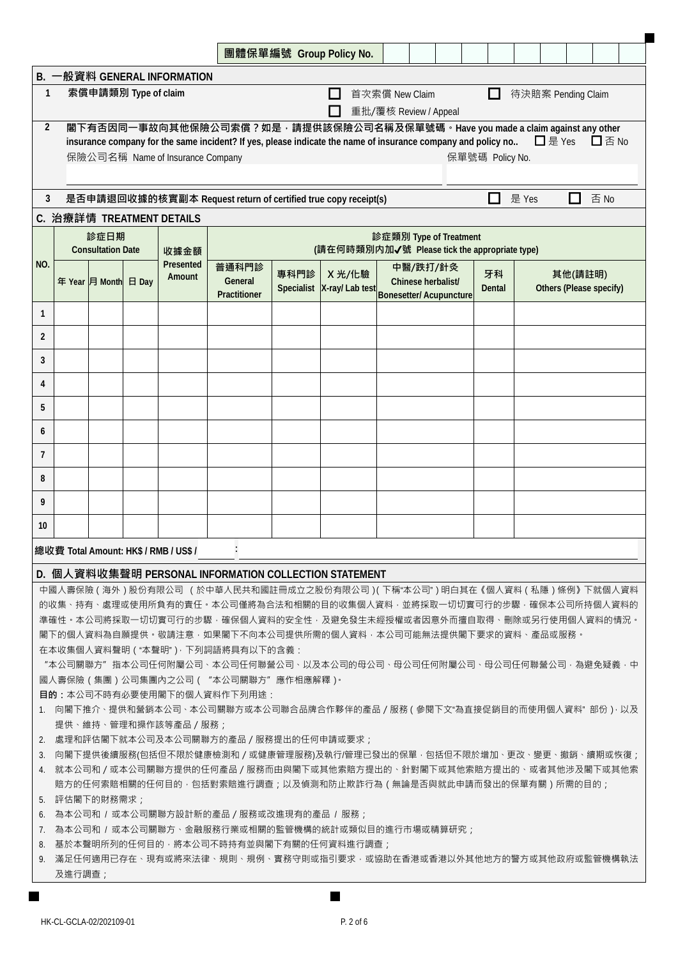|                 |                                                                                                                                                                                                                                                                                                                                                                                                                                                                         |                      |  |                                       |                                                                                                                                                                                                                        | 團體保單編號 Group Policy No. |  |        |                                                                                      |  |  |  |  |                                    |                    |  |      |  |
|-----------------|-------------------------------------------------------------------------------------------------------------------------------------------------------------------------------------------------------------------------------------------------------------------------------------------------------------------------------------------------------------------------------------------------------------------------------------------------------------------------|----------------------|--|---------------------------------------|------------------------------------------------------------------------------------------------------------------------------------------------------------------------------------------------------------------------|-------------------------|--|--------|--------------------------------------------------------------------------------------|--|--|--|--|------------------------------------|--------------------|--|------|--|
|                 | B. 一般資料 GENERAL INFORMATION                                                                                                                                                                                                                                                                                                                                                                                                                                             |                      |  |                                       |                                                                                                                                                                                                                        |                         |  |        |                                                                                      |  |  |  |  |                                    |                    |  |      |  |
| $\mathbf{1}$    |                                                                                                                                                                                                                                                                                                                                                                                                                                                                         | 索償申請類別 Type of claim |  |                                       |                                                                                                                                                                                                                        |                         |  |        | 首次索償 New Claim<br>重批/覆核 Review / Appeal                                              |  |  |  |  |                                    | 待決賠案 Pending Claim |  |      |  |
|                 | $\overline{2}$<br>閣下有否因同一事故向其他保險公司索償?如是,請提供該保險公司名稱及保單號碼。Have you made a claim against any other<br>□ 是 Yes<br>$\square$ 否 No<br>insurance company for the same incident? If yes, please indicate the name of insurance company and policy no<br>保險公司名稱 Name of Insurance Company<br>保單號碼 Policy No.                                                                                                                                                                     |                      |  |                                       |                                                                                                                                                                                                                        |                         |  |        |                                                                                      |  |  |  |  |                                    |                    |  |      |  |
|                 |                                                                                                                                                                                                                                                                                                                                                                                                                                                                         |                      |  |                                       |                                                                                                                                                                                                                        |                         |  |        |                                                                                      |  |  |  |  | 是 Yes                              |                    |  | 否 No |  |
| 3               |                                                                                                                                                                                                                                                                                                                                                                                                                                                                         |                      |  |                                       | 是否申請退回收據的核實副本 Request return of certified true copy receipt(s)                                                                                                                                                         |                         |  |        |                                                                                      |  |  |  |  |                                    |                    |  |      |  |
|                 |                                                                                                                                                                                                                                                                                                                                                                                                                                                                         |                      |  | C. 治療詳情 TREATMENT DETAILS             |                                                                                                                                                                                                                        |                         |  |        |                                                                                      |  |  |  |  |                                    |                    |  |      |  |
|                 | 診症日期<br>診症類別 Type of Treatment<br>(請在何時類別内加√號 Please tick the appropriate type)<br><b>Consultation Date</b><br>收據金額                                                                                                                                                                                                                                                                                                                                                     |                      |  |                                       |                                                                                                                                                                                                                        |                         |  |        |                                                                                      |  |  |  |  |                                    |                    |  |      |  |
| NO.             |                                                                                                                                                                                                                                                                                                                                                                                                                                                                         | 年 Year 月 Month 日 Day |  | Presented<br>Amount                   | 普通科門診<br>General<br>Practitioner                                                                                                                                                                                       | 專科門診                    |  | X 光/化驗 | 中醫/跌打/針灸<br>Chinese herbalist/<br>Specialist X-ray/ Lab test Bonesetter/ Acupuncture |  |  |  |  | 其他(請註明)<br>Others (Please specify) |                    |  |      |  |
| $\mathbf{1}$    |                                                                                                                                                                                                                                                                                                                                                                                                                                                                         |                      |  |                                       |                                                                                                                                                                                                                        |                         |  |        |                                                                                      |  |  |  |  |                                    |                    |  |      |  |
| $\overline{2}$  |                                                                                                                                                                                                                                                                                                                                                                                                                                                                         |                      |  |                                       |                                                                                                                                                                                                                        |                         |  |        |                                                                                      |  |  |  |  |                                    |                    |  |      |  |
| 3               |                                                                                                                                                                                                                                                                                                                                                                                                                                                                         |                      |  |                                       |                                                                                                                                                                                                                        |                         |  |        |                                                                                      |  |  |  |  |                                    |                    |  |      |  |
| 4               |                                                                                                                                                                                                                                                                                                                                                                                                                                                                         |                      |  |                                       |                                                                                                                                                                                                                        |                         |  |        |                                                                                      |  |  |  |  |                                    |                    |  |      |  |
| 5               |                                                                                                                                                                                                                                                                                                                                                                                                                                                                         |                      |  |                                       |                                                                                                                                                                                                                        |                         |  |        |                                                                                      |  |  |  |  |                                    |                    |  |      |  |
| 6               |                                                                                                                                                                                                                                                                                                                                                                                                                                                                         |                      |  |                                       |                                                                                                                                                                                                                        |                         |  |        |                                                                                      |  |  |  |  |                                    |                    |  |      |  |
| 7               |                                                                                                                                                                                                                                                                                                                                                                                                                                                                         |                      |  |                                       |                                                                                                                                                                                                                        |                         |  |        |                                                                                      |  |  |  |  |                                    |                    |  |      |  |
| 8               |                                                                                                                                                                                                                                                                                                                                                                                                                                                                         |                      |  |                                       |                                                                                                                                                                                                                        |                         |  |        |                                                                                      |  |  |  |  |                                    |                    |  |      |  |
| 9               |                                                                                                                                                                                                                                                                                                                                                                                                                                                                         |                      |  |                                       |                                                                                                                                                                                                                        |                         |  |        |                                                                                      |  |  |  |  |                                    |                    |  |      |  |
| 10              |                                                                                                                                                                                                                                                                                                                                                                                                                                                                         |                      |  |                                       |                                                                                                                                                                                                                        |                         |  |        |                                                                                      |  |  |  |  |                                    |                    |  |      |  |
|                 |                                                                                                                                                                                                                                                                                                                                                                                                                                                                         |                      |  | 總收費 Total Amount: HK\$ / RMB / US\$ / |                                                                                                                                                                                                                        |                         |  |        |                                                                                      |  |  |  |  |                                    |                    |  |      |  |
|                 |                                                                                                                                                                                                                                                                                                                                                                                                                                                                         |                      |  |                                       |                                                                                                                                                                                                                        |                         |  |        |                                                                                      |  |  |  |  |                                    |                    |  |      |  |
|                 | D. 個人資料收集聲明 PERSONAL INFORMATION COLLECTION STATEMENT<br>中國人壽保險 ( 海外 ) 股份有限公司 ( 於中華人民共和國註冊成立之股份有限公司 ) ( 下稱"本公司" ) 明白其在《個人資料 ( 私隱 ) 條例》下就個人資料<br>的收集、持有、處理或使用所負有的責任。本公司僅將為合法和相關的目的收集個人資料,並將採取一切切實可行的步驟,確保本公司所持個人資料的<br>準確性。本公司將採取一切切實可行的步驟‧確保個人資料的安全性‧及避免發生未經授權或者因意外而擅自取得﹑刪除或另行使用個人資料的情況。<br>閣下的個人資料為自願提供。敬請注意,如果閣下不向本公司提供所需的個人資料,本公司可能無法提供閣下要求的資料、產品或服務。<br>在本收集個人資料聲明 ( "本聲明" ) · 下列詞語將具有以下的含義:<br>"本公司關聯方" 指本公司任何附屬公司、本公司任何聯營公司、以及本公司的母公司、母公司任何附屬公司、母公司任何聯營公司·為避免疑義·中 |                      |  |                                       |                                                                                                                                                                                                                        |                         |  |        |                                                                                      |  |  |  |  |                                    |                    |  |      |  |
|                 |                                                                                                                                                                                                                                                                                                                                                                                                                                                                         |                      |  |                                       | 國人壽保險(集團)公司集團內之公司("本公司關聯方"應作相應解釋)。<br>目的:本公司不時有必要使用閣下的個人資料作下列用途:                                                                                                                                                       |                         |  |        |                                                                                      |  |  |  |  |                                    |                    |  |      |  |
|                 |                                                                                                                                                                                                                                                                                                                                                                                                                                                                         |                      |  | 提供、維持、管理和操作該等產品/服務;                   | 1. 向閣下推介、提供和營銷本公司、本公司關聯方或本公司聯合品牌合作夥伴的產品/服務(參閱下文"為直接促銷目的而使用個人資料"部份)‧以及                                                                                                                                                  |                         |  |        |                                                                                      |  |  |  |  |                                    |                    |  |      |  |
| 2.              |                                                                                                                                                                                                                                                                                                                                                                                                                                                                         |                      |  |                                       | 處理和評估閣下就本公司及本公司關聯方的產品/服務提出的任何申請或要求;                                                                                                                                                                                    |                         |  |        |                                                                                      |  |  |  |  |                                    |                    |  |      |  |
| 3.<br>4.        |                                                                                                                                                                                                                                                                                                                                                                                                                                                                         |                      |  |                                       | 向閣下提供後續服務(包括但不限於健康檢測和/或健康管理服務)及執行/管理已發出的保單‧包括但不限於增加、更改、變更、撤銷、續期或恢復;<br>就本公司和 / 或本公司關聯方提供的任何產品 / 服務而由與閣下或其他索賠方提出的、針對閣下或其他索賠方提出的、或者其他涉及閣下或其他索<br>.賠方的任何索賠相關的任何目的 · 包括對索賠進行調查 ; 以及偵測和防止欺詐行為 ( 無論是否與就此申請而發出的保單有關 ) 所需的目的 ; |                         |  |        |                                                                                      |  |  |  |  |                                    |                    |  |      |  |
| -5.<br>6.<br>7. |                                                                                                                                                                                                                                                                                                                                                                                                                                                                         | 評估閣下的財務需求;           |  |                                       | 為本公司和 / 或本公司關聯方設計新的產品 / 服務或改進現有的產品 / 服務;                                                                                                                                                                               |                         |  |        |                                                                                      |  |  |  |  |                                    |                    |  |      |  |
|                 | 為本公司和 / 或本公司關聯方、金融服務行業或相關的監管機構的統計或類似目的進行市場或精算研究 ;<br>基於本聲明所列的任何目的,將本公司不時持有並與閣下有關的任何資料進行調查;<br>8.<br>· 滿足任何適用已存在、現有或將來法律、規則、規例、實務守則或指引要求,或協助在香港或香港以外其他地方的警方或其他政府或監管機構執法<br>及進行調查;                                                                                                                                                                                                                                                                                        |                      |  |                                       |                                                                                                                                                                                                                        |                         |  |        |                                                                                      |  |  |  |  |                                    |                    |  |      |  |

П

 $\blacksquare$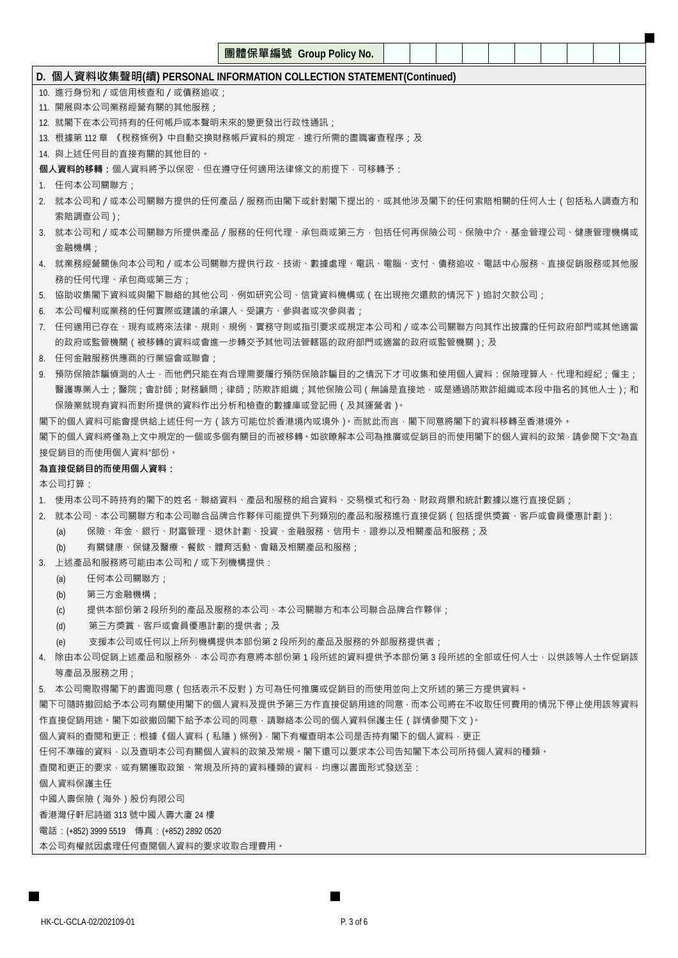|                                                                         |  | 團體保單編號 Group Policy No. |  |  |  |  |  |  |  |  |  |
|-------------------------------------------------------------------------|--|-------------------------|--|--|--|--|--|--|--|--|--|
| D. 個人資料收集聲明(續) PERSONAL INFORMATION COLLECTION STATEMENT(Continued)     |  |                         |  |  |  |  |  |  |  |  |  |
| 10. 進行身份和 / 或信用核查和 / 或債務追收;                                             |  |                         |  |  |  |  |  |  |  |  |  |
| 11. 開展與本公司業務經營有關的其他服務;                                                  |  |                         |  |  |  |  |  |  |  |  |  |
| 12. 就閣下在本公司持有的任何帳戶或本聲明未來的變更發出行政性通訊;                                     |  |                         |  |  |  |  |  |  |  |  |  |
| 13.  根據第 112 章  《稅務條例》中自動交換財務帳戶資料的規定 · 進行所需的盡職審查程序;及                    |  |                         |  |  |  |  |  |  |  |  |  |
| 14. 與上述任何目的直接有關的其他目的。                                                   |  |                         |  |  |  |  |  |  |  |  |  |
| 個人資料的移轉:個人資料將予以保密,但在遵守任何適用法律條文的前提下,可移轉予:                                |  |                         |  |  |  |  |  |  |  |  |  |
| 1. 任何本公司關聯方;                                                            |  |                         |  |  |  |  |  |  |  |  |  |
| 2. 就本公司和/或本公司關聯方提供的任何產品/服務而由閣下或針對閣下提出的、或其他涉及閣下的任何索賠相關的任何人士(包括私人調查方和     |  |                         |  |  |  |  |  |  |  |  |  |
| 索賠調查公司 ) ;                                                              |  |                         |  |  |  |  |  |  |  |  |  |
| 3. 就本公司和/或本公司關聯方所提供產品/服務的任何代理、承包商或第三方·包括任何再保險公司、保險中介、基金管理公司、健康管理機構或     |  |                         |  |  |  |  |  |  |  |  |  |
| 金融機構;                                                                   |  |                         |  |  |  |  |  |  |  |  |  |
| 4. 就業務經營關係向本公司和 / 或本公司關聯方提供行政、技術、數據處理、電訊、電腦、支付、債務追收、電話中心服務、直接促銷服務或其他服   |  |                         |  |  |  |  |  |  |  |  |  |
| 務的任何代理、承包商或第三方;                                                         |  |                         |  |  |  |  |  |  |  |  |  |
| 5. 協助收集閣下資料或與閣下聯絡的其他公司 · 例如研究公司 · 信貸資料機構或(在出現拖欠還款的情況下)追討欠款公司;           |  |                         |  |  |  |  |  |  |  |  |  |
| 6. 本公司權利或業務的任何實際或建議的承讓人、受讓方、參與者或次參與者;                                   |  |                         |  |  |  |  |  |  |  |  |  |
| 7. 任何適用已存在、現有或將來法律、規則、規例、實務守則或指引要求或規定本公司和/或本公司關聯方向其作出披露的任何政府部門或其他適當     |  |                         |  |  |  |  |  |  |  |  |  |
| 的政府或監管機關(被移轉的資料或會進一步轉交予其他司法管轄區的政府部門或適當的政府或監管機關); 及                      |  |                         |  |  |  |  |  |  |  |  |  |
| 8. 任何金融服務供應商的行業協會或聯會;                                                   |  |                         |  |  |  |  |  |  |  |  |  |
| 9. 預防保險詐騙偵測的人士·而他們只能在有合理需要履行預防保險詐騙目的之情況下才可收集和使用個人資料:保險理算人、代理和經紀;僱主;     |  |                         |  |  |  |  |  |  |  |  |  |
| 醫護專業人士;醫院;會計師;財務顧問;律師;防欺詐組織;其他保險公司(無論是直接地‧或是通過防欺詐組織或本段中指名的其他人士);和       |  |                         |  |  |  |  |  |  |  |  |  |
| 保險業就現有資料而對所提供的資料作出分析和檢查的數據庫或登記冊 ( 及其運營者 ) 。                             |  |                         |  |  |  |  |  |  |  |  |  |
| 閣下的個人資料可能會提供給上述任何一方 ( 該方可能位於香港境內或境外 )。而就此而言 · 閣下同意將閣下的資料移轉至香港境外 。       |  |                         |  |  |  |  |  |  |  |  |  |
| 閣下的個人資料將僅為上文中規定的一個或多個有關目的而被移轉。如欲瞭解本公司為推廣或促銷目的而使用閣下的個人資料的政策 - 請參閱下文"為直   |  |                         |  |  |  |  |  |  |  |  |  |
| 接促銷目的而使用個人資料"部份。                                                        |  |                         |  |  |  |  |  |  |  |  |  |
| 為直接促銷目的而使用個人資料:                                                         |  |                         |  |  |  |  |  |  |  |  |  |
| 本公司打算:                                                                  |  |                         |  |  |  |  |  |  |  |  |  |
| 1. 使用本公司不時持有的閣下的姓名、聯絡資料、產品和服務的組合資料、交易模式和行為、財政背景和統計數據以進行直接促銷;            |  |                         |  |  |  |  |  |  |  |  |  |
| 2. 就本公司、本公司關聯方和本公司聯合品牌合作夥伴可能提供下列類別的產品和服務進行直接促銷(包括提供獎賞、客戶或會員優惠計劃).       |  |                         |  |  |  |  |  |  |  |  |  |
| 保險、年金、銀行、財富管理、退休計劃、投資、金融服務、信用卡、證券以及相關產品和服務;及<br>(a)                     |  |                         |  |  |  |  |  |  |  |  |  |
| 有關健康、保健及醫療、餐飲、體育活動、會籍及相關產品和服務;<br>(b)                                   |  |                         |  |  |  |  |  |  |  |  |  |
| 3. 上述產品和服務將可能由本公司和/或下列機構提供:                                             |  |                         |  |  |  |  |  |  |  |  |  |
| 任何本公司關聯方;<br>(a)                                                        |  |                         |  |  |  |  |  |  |  |  |  |
| 第三方金融機構:<br>(b)                                                         |  |                         |  |  |  |  |  |  |  |  |  |
| 提供本部份第2段所列的產品及服務的本公司、本公司關聯方和本公司聯合品牌合作夥伴;<br>(c)                         |  |                         |  |  |  |  |  |  |  |  |  |
| 第三方獎賞、客戶或會員優惠計劃的提供者;及<br>(d)                                            |  |                         |  |  |  |  |  |  |  |  |  |
| 支援本公司或任何以上所列機構提供本部份第2段所列的產品及服務的外部服務提供者;<br>(e)                          |  |                         |  |  |  |  |  |  |  |  |  |
| 4. 除由本公司促銷上述產品和服務外,本公司亦有意將本部份第 1 段所述的資料提供予本部份第 3 段所述的全部或任何人士,以供該等人士作促銷該 |  |                         |  |  |  |  |  |  |  |  |  |
| 等產品及服務之用;                                                               |  |                         |  |  |  |  |  |  |  |  |  |
| 5. 本公司需取得閣下的書面同意(包括表示不反對)方可為任何推廣或促銷目的而使用並向上文所述的第三方提供資料。                 |  |                         |  |  |  |  |  |  |  |  |  |
| 閣下可隨時撤回給予本公司有關使用閣下的個人資料及提供予第三方作直接促銷用途的同意 · 而本公司將在不收取任何費用的情況下停止使用該等資料    |  |                         |  |  |  |  |  |  |  |  |  |
| 作直接促銷用途。閣下如欲撤回閣下給予本公司的同意‧請聯絡本公司的個人資料保護主任(詳情參閱下文)。                       |  |                         |  |  |  |  |  |  |  |  |  |
| 個人資料的查閱和更正:根據《個人資料(私隱)條例》,閣下有權查明本公司是否持有閣下的個人資料,更正                       |  |                         |  |  |  |  |  |  |  |  |  |
| 任何不準確的資料·以及查明本公司有關個人資料的政策及常規·閣下還可以要求本公司告知閣下本公司所持個人資料的種類·                |  |                         |  |  |  |  |  |  |  |  |  |
| 查閱和更正的要求,或有關獲取政策、常規及所持的資料種類的資料,均應以書面形式發送至:                              |  |                         |  |  |  |  |  |  |  |  |  |
| 個人資料保護主任                                                                |  |                         |  |  |  |  |  |  |  |  |  |
| 中國人壽保險(海外)股份有限公司                                                        |  |                         |  |  |  |  |  |  |  |  |  |
| 香港灣仔軒尼詩道 313 號中國人壽大廈 24 樓                                               |  |                         |  |  |  |  |  |  |  |  |  |

電話:(+852) 3999 5519 傳真:(+852) 2892 0520

本公司有權就因處理任何查閱個人資料的要求收取合理費用。

H

 $\blacksquare$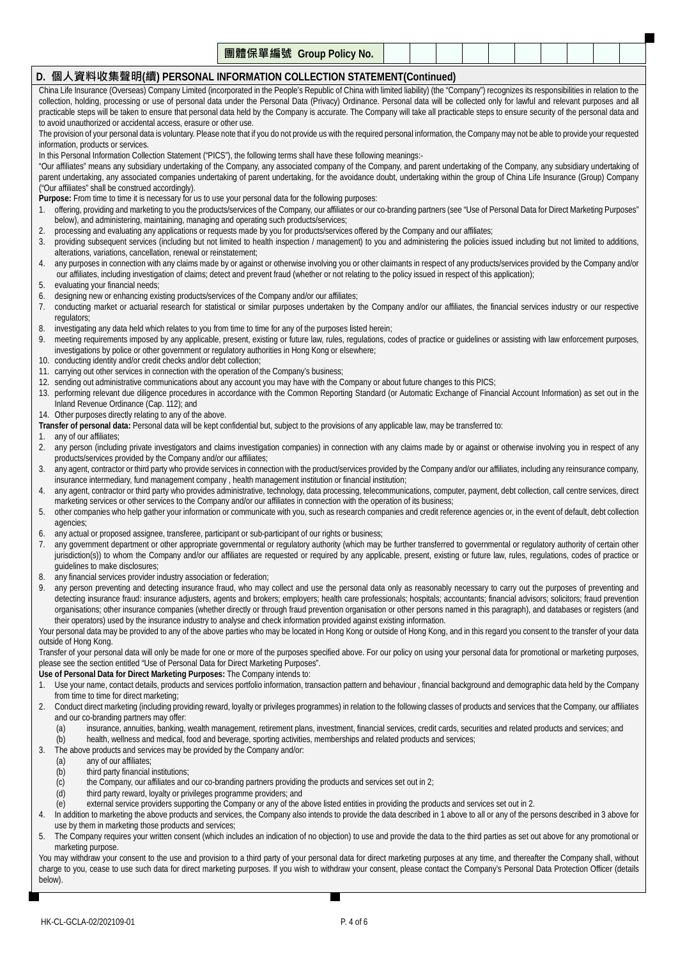|      | , oo <i>le</i> a.e.<br>l radio<br>$\sqrt{2}$<br>▬<br>' No.<br>Groun<br><b>POIIC</b><br>--<br>斜冊<br><b>The</b><br>--<br><b>DE</b><br>. . |  |  |  |  |  |
|------|-----------------------------------------------------------------------------------------------------------------------------------------|--|--|--|--|--|
| ____ |                                                                                                                                         |  |  |  |  |  |

## **D. 個人資料收集聲明(續) PERSONAL INFORMATION COLLECTION STATEMENT(Continued)**

China Life Insurance (Overseas) Company Limited (incorporated in the People's Republic of China with limited liability) (the "Company") recognizes its responsibilities in relation to the collection, holding, processing or use of personal data under the Personal Data (Privacy) Ordinance. Personal data will be collected only for lawful and relevant purposes and all practicable steps will be taken to ensure that personal data held by the Company is accurate. The Company will take all practicable steps to ensure security of the personal data and to avoid unauthorized or accidental access, erasure or other use.

The provision of your personal data is voluntary. Please note that if you do not provide us with the required personal information, the Company may not be able to provide your requested information, products or services.

In this Personal Information Collection Statement ("PICS"), the following terms shall have these following meanings:-

"Our affiliates" means any subsidiary undertaking of the Company, any associated company of the Company, and parent undertaking of the Company, any subsidiary undertaking of parent undertaking, any associated companies undertaking of parent undertaking, for the avoidance doubt, undertaking within the group of China Life Insurance (Group) Company ("Our affiliates" shall be construed accordingly).

**Purpose:** From time to time it is necessary for us to use your personal data for the following purposes:

- 1. offering, providing and marketing to you the products/services of the Company, our affiliates or our co-branding partners (see "Use of Personal Data for Direct Marketing Purposes" below), and administering, maintaining, managing and operating such products/services;
- 2. processing and evaluating any applications or requests made by you for products/services offered by the Company and our affiliates;
- 3. providing subsequent services (including but not limited to health inspection / management) to you and administering the policies issued including but not limited to additions, alterations, variations, cancellation, renewal or reinstatement;
- 4. any purposes in connection with any claims made by or against or otherwise involving you or other claimants in respect of any products/services provided by the Company and/or our affiliates, including investigation of claims; detect and prevent fraud (whether or not relating to the policy issued in respect of this application);
- 5. evaluating your financial needs;
- 6. designing new or enhancing existing products/services of the Company and/or our affiliates;
- 7. conducting market or actuarial research for statistical or similar purposes undertaken by the Company and/or our affiliates, the financial services industry or our respective regulators;
- 8. investigating any data held which relates to you from time to time for any of the purposes listed herein;
- 9. meeting requirements imposed by any applicable, present, existing or future law, rules, regulations, codes of practice or quidelines or assisting with law enforcement purposes, investigations by police or other government or regulatory authorities in Hong Kong or elsewhere;
- 10. conducting identity and/or credit checks and/or debt collection;
- 11. carrying out other services in connection with the operation of the Company's business;
- 12. sending out administrative communications about any account you may have with the Company or about future changes to this PICS;
- 13. performing relevant due diligence procedures in accordance with the Common Reporting Standard (or Automatic Exchange of Financial Account Information) as set out in the Inland Revenue Ordinance (Cap. 112); and
- 14. Other purposes directly relating to any of the above.

**Transfer of personal data:** Personal data will be kept confidential but, subject to the provisions of any applicable law, may be transferred to:

1. any of our affiliates;

- 2. any person (including private investigators and claims investigation companies) in connection with any claims made by or against or otherwise involving you in respect of any products/services provided by the Company and/or our affiliates;
- 3. any agent, contractor or third party who provide services in connection with the product/services provided by the Company and/or our affiliates, including any reinsurance company, insurance intermediary, fund management company , health management institution or financial institution;
- 4. any agent, contractor or third party who provides administrative, technology, data processing, telecommunications, computer, payment, debt collection, call centre services, direct marketing services or other services to the Company and/or our affiliates in connection with the operation of its business;
- 5. other companies who help gather your information or communicate with you, such as research companies and credit reference agencies or, in the event of default, debt collection agencies;
- 6. any actual or proposed assignee, transferee, participant or sub-participant of our rights or business;
- 7. any government department or other appropriate governmental or regulatory authority (which may be further transferred to governmental or regulatory authority of certain other jurisdiction(s)) to whom the Company and/or our affiliates are requested or required by any applicable, present, existing or future law, rules, requiations, codes of practice or guidelines to make disclosures;
- 8. any financial services provider industry association or federation;
- 9. any person preventing and detecting insurance fraud, who may collect and use the personal data only as reasonably necessary to carry out the purposes of preventing and detecting insurance fraud: insurance adjusters, agents and brokers; employers; health care professionals; hospitals; accountants; financial advisors; solicitors; fraud prevention organisations; other insurance companies (whether directly or through fraud prevention organisation or other persons named in this paragraph), and databases or registers (and their operators) used by the insurance industry to analyse and check information provided against existing information.

Your personal data may be provided to any of the above parties who may be located in Hong Kong or outside of Hong Kong, and in this regard you consent to the transfer of your data outside of Hong Kong.

Transfer of your personal data will only be made for one or more of the purposes specified above. For our policy on using your personal data for promotional or marketing purposes, please see the section entitled "Use of Personal Data for Direct Marketing Purposes".

- **Use of Personal Data for Direct Marketing Purposes:** The Company intends to:
- 1. Use your name, contact details, products and services portfolio information, transaction pattern and behaviour , financial background and demographic data held by the Company from time to time for direct marketing;
- 2. Conduct direct marketing (including providing reward, loyalty or privileges programmes) in relation to the following classes of products and services that the Company, our affiliates and our co-branding partners may offer:
	- (a) insurance, annuities, banking, wealth management, retirement plans, investment, financial services, credit cards, securities and related products and services; and (b) health, wellness and medical, food and beverage, sporting activities, memberships and related products and services;
- 3. The above products and services may be provided by the Company and/or:
	- (a) any of our affiliates;
	- (b) third party financial institutions;
	- (c) the Company, our affiliates and our co-branding partners providing the products and services set out in 2;
	- (d) third party reward, loyalty or privileges programme providers; and
- (e) external service providers supporting the Company or any of the above listed entities in providing the products and services set out in 2.
- 4. In addition to marketing the above products and services, the Company also intends to provide the data described in 1 above to all or any of the persons described in 3 above for use by them in marketing those products and services;
- 5. The Company requires your written consent (which includes an indication of no objection) to use and provide the data to the third parties as set out above for any promotional or marketing purpose.

You may withdraw your consent to the use and provision to a third party of your personal data for direct marketing purposes at any time, and thereafter the Company shall, without charge to you, cease to use such data for direct marketing purposes. If you wish to withdraw your consent, please contact the Company's Personal Data Protection Officer (details below).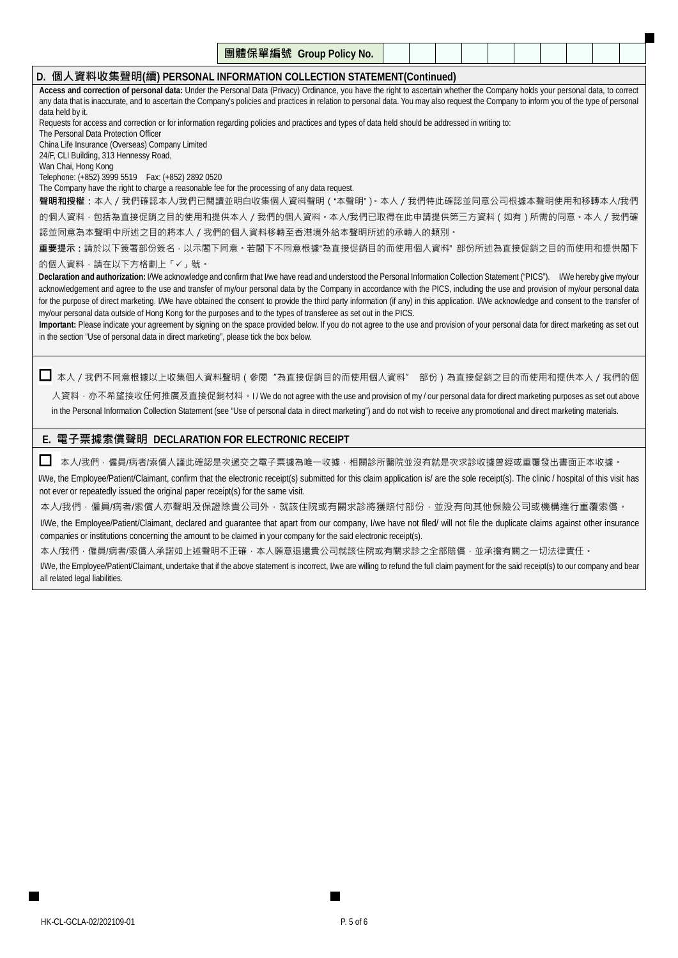|                                                                     | 團體保單編號 Group Policy No. |  |  |  |  |  |
|---------------------------------------------------------------------|-------------------------|--|--|--|--|--|
| D. 個人資料收集聲明(續) PERSONAL INFORMATION COLLECTION STATEMENT(Continued) |                         |  |  |  |  |  |

**Access and correction of personal data:** Under the Personal Data (Privacy) Ordinance, you have the right to ascertain whether the Company holds your personal data, to correct any data that is inaccurate, and to ascertain the Company's policies and practices in relation to personal data. You may also request the Company to inform you of the type of personal data held by it.

Requests for access and correction or for information regarding policies and practices and types of data held should be addressed in writing to:

The Personal Data Protection Officer

China Life Insurance (Overseas) Company Limited

24/F, CLI Building, 313 Hennessy Road, Wan Chai, Hong Kong

Telephone: (+852) 3999 5519 Fax: (+852) 2892 0520

The Company have the right to charge a reasonable fee for the processing of any data request.

**聲明和授權:**本人/我們確認本人/我們已閱讀並明白收集個人資料聲明("本聲明")。本人/我們特此確認並同意公司根據本聲明使用和移轉本人/我們 的個人資料,包括為直接促銷之目的使用和提供本人/我們的個人資料。本人/我們已取得在此申請提供第三方資料(如有)所需的同意。本人/我們確

認並同意為本聲明中所述之目的將本人/我們的個人資料移轉至香港境外給本聲明所述的承轉人的類別。

**重要提示:**請於以下簽署部份簽名,以示閣下同意。若閣下不同意根據"為直接促銷目的而使用個人資料" 部份所述為直接促銷之目的而使用和提供閣下

### 的個人資料,請在以下方格劃上「√」號。

**Declaration and authorization:** I/We acknowledge and confirm that I/we have read and understood the Personal Information Collection Statement ("PICS"). I/We hereby give my/our acknowledgement and agree to the use and transfer of my/our personal data by the Company in accordance with the PICS, including the use and provision of my/our personal data for the purpose of direct marketing. I/We have obtained the consent to provide the third party information (if any) in this application. I/We acknowledge and consent to the transfer of my/our personal data outside of Hong Kong for the purposes and to the types of transferee as set out in the PICS.

**Important:** Please indicate your agreement by signing on the space provided below. If you do not agree to the use and provision of your personal data for direct marketing as set out in the section "Use of personal data in direct marketing", please tick the box below.

本人/我們不同意根據以上收集個人資料聲明(參閱"為直接促銷目的而使用個人資料" 部份)為直接促銷之目的而使用和提供本人/我們的個

人資料, 亦不希望接收任何推廣及直接促銷材料。I / We do not agree with the use and provision of my / our personal data for direct marketing purposes as set out above in the Personal Information Collection Statement (see "Use of personal data in direct marketing") and do not wish to receive any promotional and direct marketing materials.

## **E. 電子票據索償聲明 DECLARATION FOR ELECTRONIC RECEIPT**

 $\Box$  本人/我們,僱員/病者/索償人謹此確認是次遞交之電子票據為唯一收據,相關診所醫院並沒有就是次求診收據曾經或重覆發出書面正本收據。

I/We, the Employee/Patient/Claimant, confirm that the electronic receipt(s) submitted for this claim application is/ are the sole receipt(s). The clinic / hospital of this visit has not ever or repeatedly issued the original paper receipt(s) for the same visit.

本人/我們,僱員/病者/索償人亦聲明及保證除貴公司外,就該住院或有關求診將獲賠付部份,並没有向其他保險公司或機構進行重覆索償。

I/We, the Employee/Patient/Claimant, declared and guarantee that apart from our company, I/we have not filed/ will not file the duplicate claims against other insurance companies or institutions concerning the amount to be claimed in your company for the said electronic receipt(s).

本人/我們,僱員/病者/索償人承諾如上述聲明不正確,本人願意退還貴公司就該住院或有關求診之全部賠償,並承擔有關之一切法律責任。

I/We, the Employee/Patient/Claimant, undertake that if the above statement is incorrect, I/we are willing to refund the full claim payment for the said receipt(s) to our company and bear all related legal liabilities.